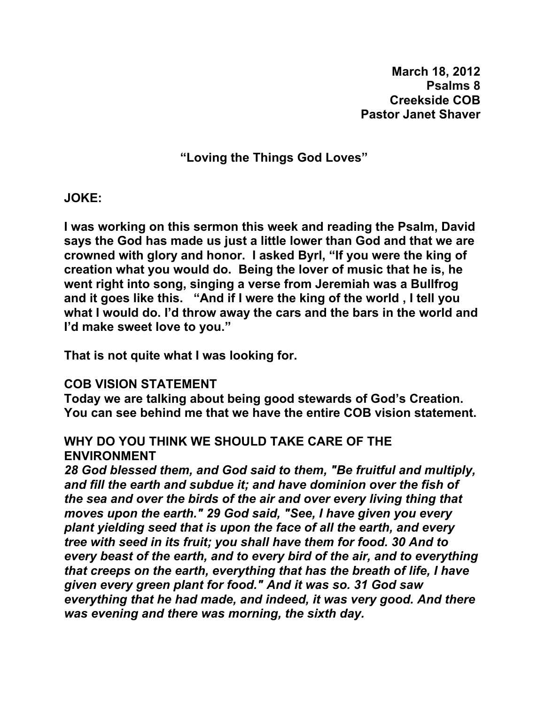**March 18, 2012 Psalms 8 Creekside COB Pastor Janet Shaver** 

**"Loving the Things God Loves"** 

**JOKE:** 

**I was working on this sermon this week and reading the Psalm, David says the God has made us just a little lower than God and that we are crowned with glory and honor. I asked Byrl, "If you were the king of creation what you would do. Being the lover of music that he is, he went right into song, singing a verse from Jeremiah was a Bullfrog and it goes like this. "And if I were the king of the world , I tell you what I would do. I'd throw away the cars and the bars in the world and I'd make sweet love to you."** 

**That is not quite what I was looking for.** 

### **COB VISION STATEMENT**

**Today we are talking about being good stewards of God's Creation. You can see behind me that we have the entire COB vision statement.** 

# **WHY DO YOU THINK WE SHOULD TAKE CARE OF THE ENVIRONMENT**

*28 God blessed them, and God said to them, "Be fruitful and multiply, and fill the earth and subdue it; and have dominion over the fish of the sea and over the birds of the air and over every living thing that moves upon the earth." 29 God said, "See, I have given you every plant yielding seed that is upon the face of all the earth, and every tree with seed in its fruit; you shall have them for food. 30 And to every beast of the earth, and to every bird of the air, and to everything that creeps on the earth, everything that has the breath of life, I have given every green plant for food." And it was so. 31 God saw everything that he had made, and indeed, it was very good. And there was evening and there was morning, the sixth day.*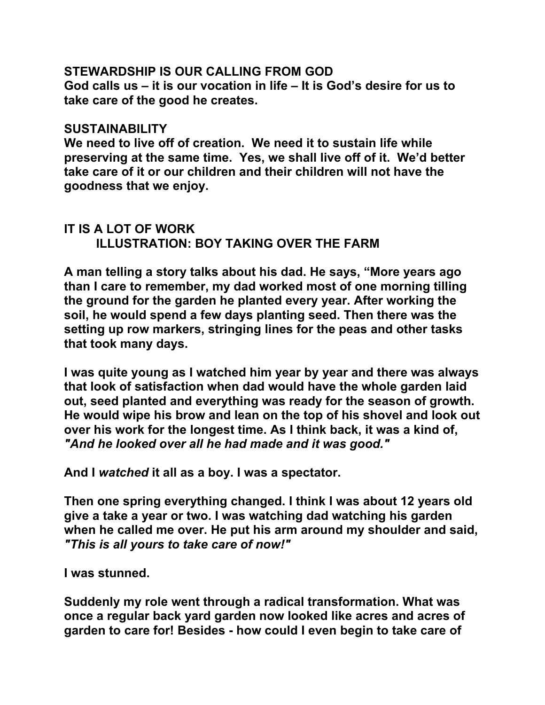### **STEWARDSHIP IS OUR CALLING FROM GOD**

**God calls us – it is our vocation in life – It is God's desire for us to take care of the good he creates.** 

### **SUSTAINABILITY**

**We need to live off of creation. We need it to sustain life while preserving at the same time. Yes, we shall live off of it. We'd better take care of it or our children and their children will not have the goodness that we enjoy.** 

# **IT IS A LOT OF WORK ILLUSTRATION: BOY TAKING OVER THE FARM**

**A man telling a story talks about his dad. He says, "More years ago than I care to remember, my dad worked most of one morning tilling the ground for the garden he planted every year. After working the soil, he would spend a few days planting seed. Then there was the setting up row markers, stringing lines for the peas and other tasks that took many days.** 

**I was quite young as I watched him year by year and there was always that look of satisfaction when dad would have the whole garden laid out, seed planted and everything was ready for the season of growth. He would wipe his brow and lean on the top of his shovel and look out over his work for the longest time. As I think back, it was a kind of,**  *"And he looked over all he had made and it was good."*

**And I** *watched* **it all as a boy. I was a spectator.** 

**Then one spring everything changed. I think I was about 12 years old give a take a year or two. I was watching dad watching his garden when he called me over. He put his arm around my shoulder and said,**  *"This is all yours to take care of now!"*

**I was stunned.** 

**Suddenly my role went through a radical transformation. What was once a regular back yard garden now looked like acres and acres of garden to care for! Besides - how could I even begin to take care of**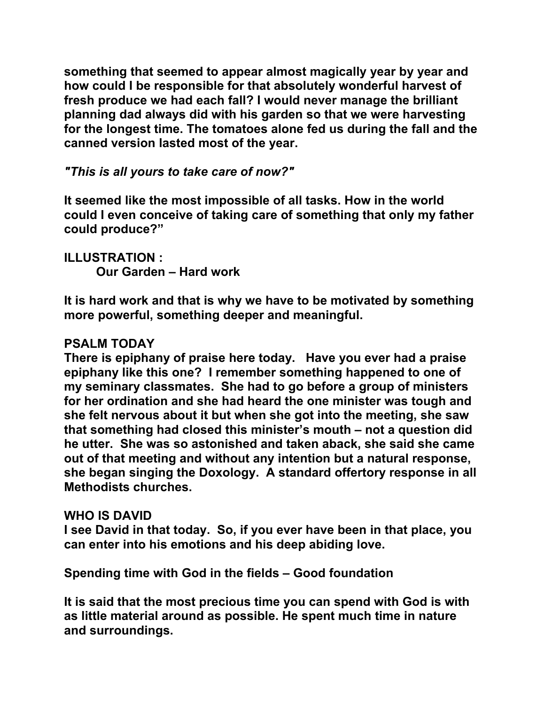**something that seemed to appear almost magically year by year and how could I be responsible for that absolutely wonderful harvest of fresh produce we had each fall? I would never manage the brilliant planning dad always did with his garden so that we were harvesting for the longest time. The tomatoes alone fed us during the fall and the canned version lasted most of the year.** 

*"This is all yours to take care of now?"*

**It seemed like the most impossible of all tasks. How in the world could I even conceive of taking care of something that only my father could produce?"** 

# **ILLUSTRATION :**

 **Our Garden – Hard work** 

**It is hard work and that is why we have to be motivated by something more powerful, something deeper and meaningful.** 

# **PSALM TODAY**

**There is epiphany of praise here today. Have you ever had a praise epiphany like this one? I remember something happened to one of my seminary classmates. She had to go before a group of ministers for her ordination and she had heard the one minister was tough and she felt nervous about it but when she got into the meeting, she saw that something had closed this minister's mouth – not a question did he utter. She was so astonished and taken aback, she said she came out of that meeting and without any intention but a natural response, she began singing the Doxology. A standard offertory response in all Methodists churches.** 

### **WHO IS DAVID**

**I see David in that today. So, if you ever have been in that place, you can enter into his emotions and his deep abiding love.** 

**Spending time with God in the fields – Good foundation** 

**It is said that the most precious time you can spend with God is with as little material around as possible. He spent much time in nature and surroundings.**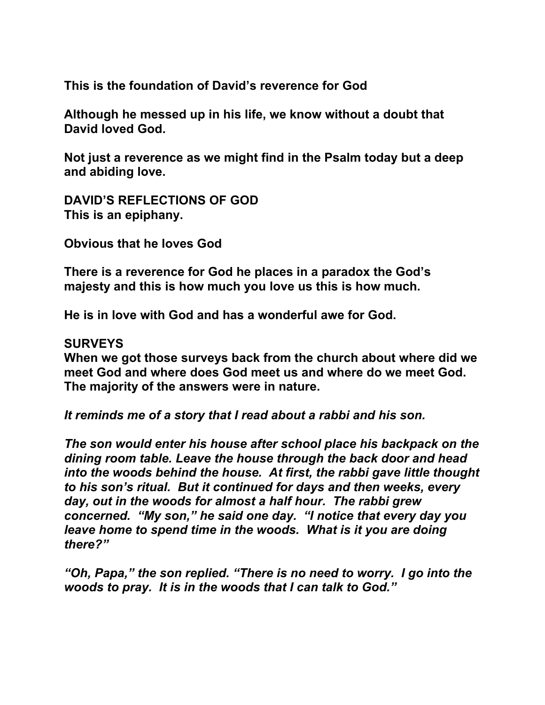**This is the foundation of David's reverence for God** 

**Although he messed up in his life, we know without a doubt that David loved God.** 

**Not just a reverence as we might find in the Psalm today but a deep and abiding love.** 

**DAVID'S REFLECTIONS OF GOD This is an epiphany.** 

**Obvious that he loves God** 

**There is a reverence for God he places in a paradox the God's majesty and this is how much you love us this is how much.** 

**He is in love with God and has a wonderful awe for God.** 

### **SURVEYS**

**When we got those surveys back from the church about where did we meet God and where does God meet us and where do we meet God. The majority of the answers were in nature.** 

*It reminds me of a story that I read about a rabbi and his son.* 

*The son would enter his house after school place his backpack on the dining room table. Leave the house through the back door and head into the woods behind the house. At first, the rabbi gave little thought to his son's ritual. But it continued for days and then weeks, every day, out in the woods for almost a half hour. The rabbi grew concerned. "My son," he said one day. "I notice that every day you leave home to spend time in the woods. What is it you are doing there?"* 

*"Oh, Papa," the son replied. "There is no need to worry. I go into the woods to pray. It is in the woods that I can talk to God."*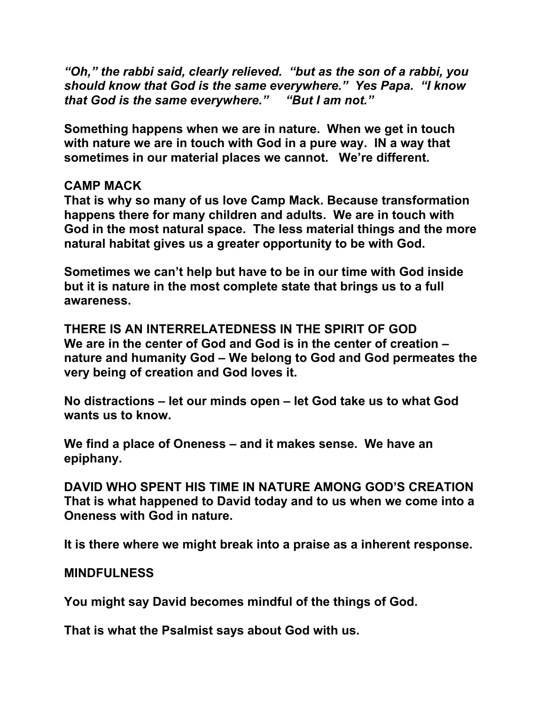*"Oh," the rabbi said, clearly relieved. "but as the son of a rabbi, you should know that God is the same everywhere." Yes Papa. "I know that God is the same everywhere." "But I am not."* 

**Something happens when we are in nature. When we get in touch with nature we are in touch with God in a pure way. IN a way that sometimes in our material places we cannot. We're different.** 

### **CAMP MACK**

**That is why so many of us love Camp Mack. Because transformation happens there for many children and adults. We are in touch with God in the most natural space. The less material things and the more natural habitat gives us a greater opportunity to be with God.** 

**Sometimes we can't help but have to be in our time with God inside but it is nature in the most complete state that brings us to a full awareness.** 

**THERE IS AN INTERRELATEDNESS IN THE SPIRIT OF GOD We are in the center of God and God is in the center of creation – nature and humanity God – We belong to God and God permeates the very being of creation and God loves it.** 

**No distractions – let our minds open – let God take us to what God wants us to know.** 

**We find a place of Oneness – and it makes sense. We have an epiphany.** 

**DAVID WHO SPENT HIS TIME IN NATURE AMONG GOD'S CREATION That is what happened to David today and to us when we come into a Oneness with God in nature.** 

**It is there where we might break into a praise as a inherent response.** 

### **MINDFULNESS**

**You might say David becomes mindful of the things of God.** 

**That is what the Psalmist says about God with us.**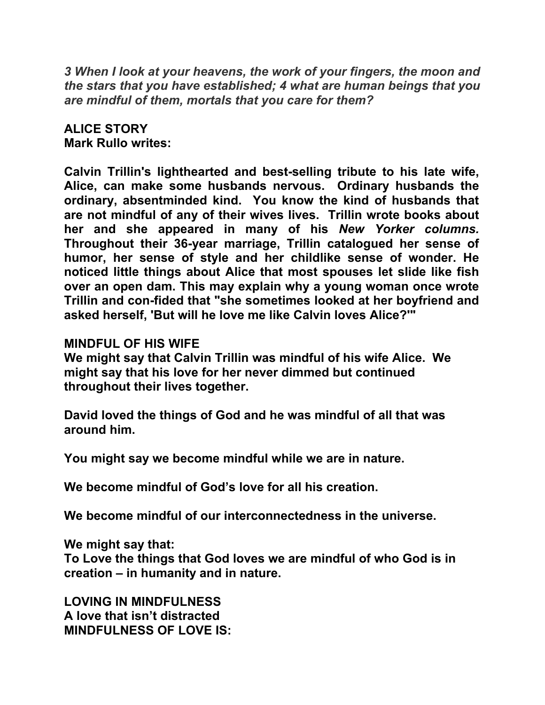*3 When I look at your heavens, the work of your fingers, the moon and the stars that you have established; 4 what are human beings that you are mindful of them, mortals that you care for them?*

## **ALICE STORY Mark Rullo writes:**

**Calvin Trillin's lighthearted and best-selling tribute to his late wife, Alice, can make some husbands nervous. Ordinary husbands the ordinary, absentminded kind. You know the kind of husbands that are not mindful of any of their wives lives. Trillin wrote books about her and she appeared in many of his** *New Yorker columns.*  **Throughout their 36-year marriage, Trillin catalogued her sense of humor, her sense of style and her childlike sense of wonder. He noticed little things about Alice that most spouses let slide like fish over an open dam. This may explain why a young woman once wrote Trillin and con-fided that "she sometimes looked at her boyfriend and asked herself, 'But will he love me like Calvin loves Alice?'"** 

# **MINDFUL OF HIS WIFE**

**We might say that Calvin Trillin was mindful of his wife Alice. We might say that his love for her never dimmed but continued throughout their lives together.** 

**David loved the things of God and he was mindful of all that was around him.** 

**You might say we become mindful while we are in nature.** 

**We become mindful of God's love for all his creation.** 

**We become mindful of our interconnectedness in the universe.** 

**We might say that:** 

**To Love the things that God loves we are mindful of who God is in creation – in humanity and in nature.** 

**LOVING IN MINDFULNESS A love that isn't distracted MINDFULNESS OF LOVE IS:**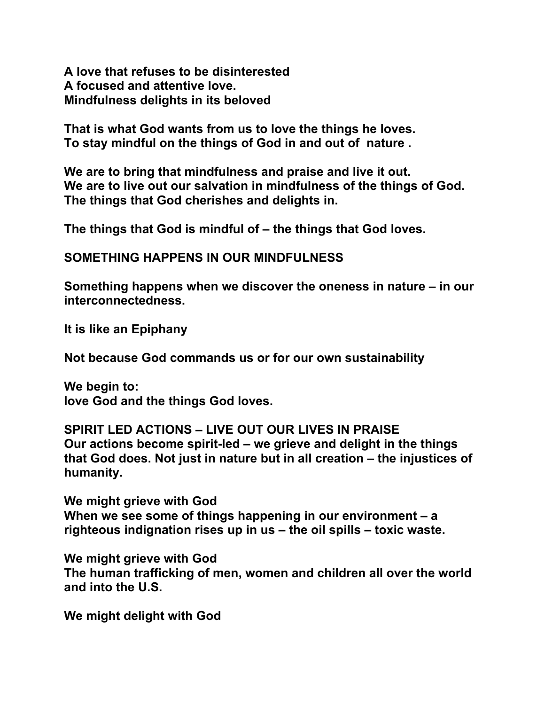**A love that refuses to be disinterested A focused and attentive love. Mindfulness delights in its beloved** 

**That is what God wants from us to love the things he loves. To stay mindful on the things of God in and out of nature .** 

**We are to bring that mindfulness and praise and live it out. We are to live out our salvation in mindfulness of the things of God. The things that God cherishes and delights in.** 

**The things that God is mindful of – the things that God loves.** 

**SOMETHING HAPPENS IN OUR MINDFULNESS** 

**Something happens when we discover the oneness in nature – in our interconnectedness.** 

**It is like an Epiphany** 

**Not because God commands us or for our own sustainability** 

**We begin to: love God and the things God loves.** 

**SPIRIT LED ACTIONS – LIVE OUT OUR LIVES IN PRAISE Our actions become spirit-led – we grieve and delight in the things that God does. Not just in nature but in all creation – the injustices of humanity.** 

**We might grieve with God When we see some of things happening in our environment – a righteous indignation rises up in us – the oil spills – toxic waste.** 

**We might grieve with God The human trafficking of men, women and children all over the world and into the U.S.** 

**We might delight with God**